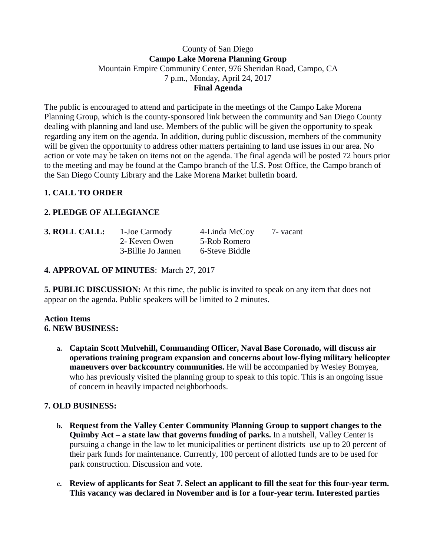## County of San Diego **Campo Lake Morena Planning Group** Mountain Empire Community Center, 976 Sheridan Road, Campo, CA 7 p.m., Monday, April 24, 2017 **Final Agenda**

The public is encouraged to attend and participate in the meetings of the Campo Lake Morena Planning Group, which is the county-sponsored link between the community and San Diego County dealing with planning and land use. Members of the public will be given the opportunity to speak regarding any item on the agenda. In addition, during public discussion, members of the community will be given the opportunity to address other matters pertaining to land use issues in our area. No action or vote may be taken on items not on the agenda. The final agenda will be posted 72 hours prior to the meeting and may be found at the Campo branch of the U.S. Post Office, the Campo branch of the San Diego County Library and the Lake Morena Market bulletin board.

# **1. CALL TO ORDER**

# **2. PLEDGE OF ALLEGIANCE**

| 3. ROLL CALL: | 1-Joe Carmody      | 4-Linda McCoy  | 7 - vacant |
|---------------|--------------------|----------------|------------|
|               | 2- Keven Owen      | 5-Rob Romero   |            |
|               | 3-Billie Jo Jannen | 6-Steve Biddle |            |

## **4. APPROVAL OF MINUTES**: March 27, 2017

**5. PUBLIC DISCUSSION:** At this time, the public is invited to speak on any item that does not appear on the agenda. Public speakers will be limited to 2 minutes.

#### **Action Items 6. NEW BUSINESS:**

**a. Captain Scott Mulvehill, Commanding Officer, Naval Base Coronado, will discuss air operations training program expansion and concerns about low-flying military helicopter maneuvers over backcountry communities.** He will be accompanied by Wesley Bomyea, who has previously visited the planning group to speak to this topic. This is an ongoing issue of concern in heavily impacted neighborhoods.

# **7. OLD BUSINESS:**

- **b. Request from the Valley Center Community Planning Group to support changes to the Quimby Act – a state law that governs funding of parks.** In a nutshell, Valley Center is pursuing a change in the law to let municipalities or pertinent districts use up to 20 percent of their park funds for maintenance. Currently, 100 percent of allotted funds are to be used for park construction. Discussion and vote.
- **c. Review of applicants for Seat 7. Select an applicant to fill the seat for this four-year term. This vacancy was declared in November and is for a four-year term. Interested parties**